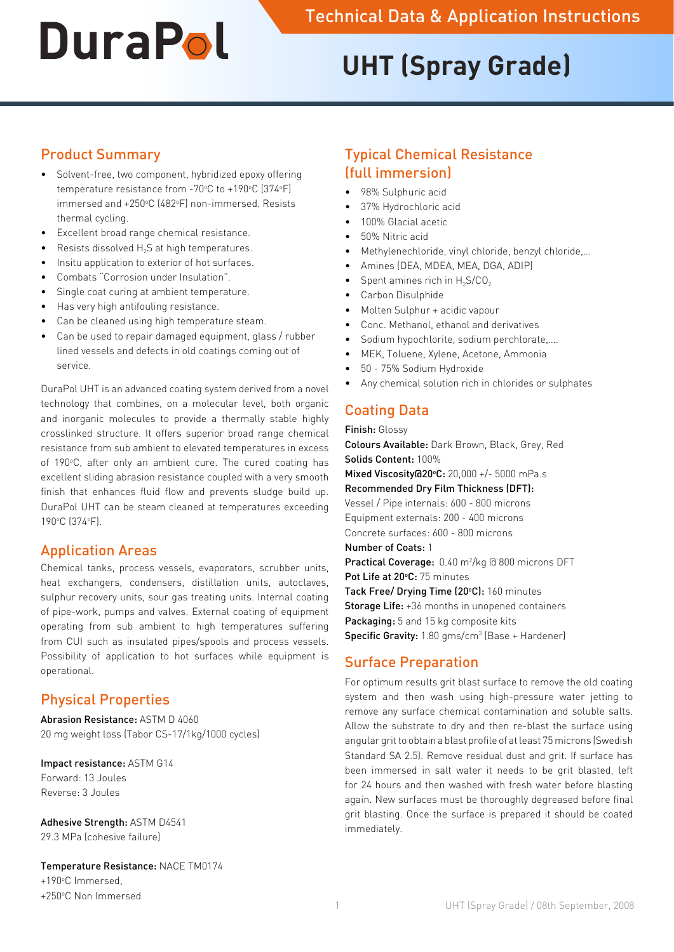# **UHT (Spray Grade)**

## Product Summary

- • Solvent-free, two component, hybridized epoxy offering temperature resistance from -70°C to +190°C (374°F) immersed and +250°C (482°F) non-immersed. Resists thermal cycling.
- • Excellent broad range chemical resistance.
- Resists dissolved  $H_2S$  at high temperatures.
- Insitu application to exterior of hot surfaces.
- Combats "Corrosion under Insulation".
- Single coat curing at ambient temperature.
- Has very high antifouling resistance.
- Can be cleaned using high temperature steam.
- Can be used to repair damaged equipment, glass / rubber lined vessels and defects in old coatings coming out of service.

DuraPol UHT is an advanced coating system derived from a novel technology that combines, on a molecular level, both organic and inorganic molecules to provide a thermally stable highly crosslinked structure. It offers superior broad range chemical resistance from sub ambient to elevated temperatures in excess of 190°C, after only an ambient cure. The cured coating has excellent sliding abrasion resistance coupled with a very smooth finish that enhances fluid flow and prevents sludge build up. DuraPol UHT can be steam cleaned at temperatures exceeding 190°C (374°F).

## Application Areas

Chemical tanks, process vessels, evaporators, scrubber units, heat exchangers, condensers, distillation units, autoclaves, sulphur recovery units, sour gas treating units. Internal coating of pipe-work, pumps and valves. External coating of equipment operating from sub ambient to high temperatures suffering from CUI such as insulated pipes/spools and process vessels. Possibility of application to hot surfaces while equipment is operational.

# Physical Properties

Abrasion Resistance: ASTM D 4060 20 mg weight loss (Tabor CS-17/1kg/1000 cycles)

Impact resistance: ASTM G14 Forward: 13 Joules Reverse: 3 Joules

Adhesive Strength: ASTM D4541 29.3 MPa (cohesive failure)

Temperature Resistance: NACE TM0174 +190°C Immersed,

+250°C Non Immersed

# Typical Chemical Resistance (full immersion)

- 98% Sulphuric acid
- 37% Hydrochloric acid
- 100% Glacial acetic
- 50% Nitric acid
- Methylenechloride, vinyl chloride, benzyl chloride,...
- Amines (DEA, MDEA, MEA, DGA, ADIP)
- Spent amines rich in  $H_2S/CO_2$
- Carbon Disulphide
- Molten Sulphur + acidic vapour
- Conc. Methanol, ethanol and derivatives
- Sodium hypochlorite, sodium perchlorate,....
- MEK, Toluene, Xylene, Acetone, Ammonia
- 50 75% Sodium Hydroxide
- Any chemical solution rich in chlorides or sulphates

# Coating Data

Finish: Glossy

Colours Available: Dark Brown, Black, Grey, Red Solids Content: 100% Mixed Viscosity@20°C: 20,000 +/- 5000 mPa.s Recommended Dry Film Thickness (DFT): Vessel / Pipe internals: 600 - 800 microns Equipment externals: 200 - 400 microns Concrete surfaces: 600 - 800 microns Number of Coats: 1 Practical Coverage: 0.40 m<sup>2</sup>/kg @ 800 microns DFT Pot Life at 20°C: 75 minutes Tack Free/ Drying Time (20°C): 160 minutes Storage Life: +36 months in unopened containers Packaging: 5 and 15 kg composite kits **Specific Gravity:** 1.80 gms/cm<sup>3</sup> (Base + Hardener)

## Surface Preparation

For optimum results grit blast surface to remove the old coating system and then wash using high-pressure water jetting to remove any surface chemical contamination and soluble salts. Allow the substrate to dry and then re-blast the surface using angular grit to obtain a blast profile of at least 75 microns (Swedish Standard SA 2.5). Remove residual dust and grit. If surface has been immersed in salt water it needs to be grit blasted, left for 24 hours and then washed with fresh water before blasting again. New surfaces must be thoroughly degreased before final grit blasting. Once the surface is prepared it should be coated immediately.